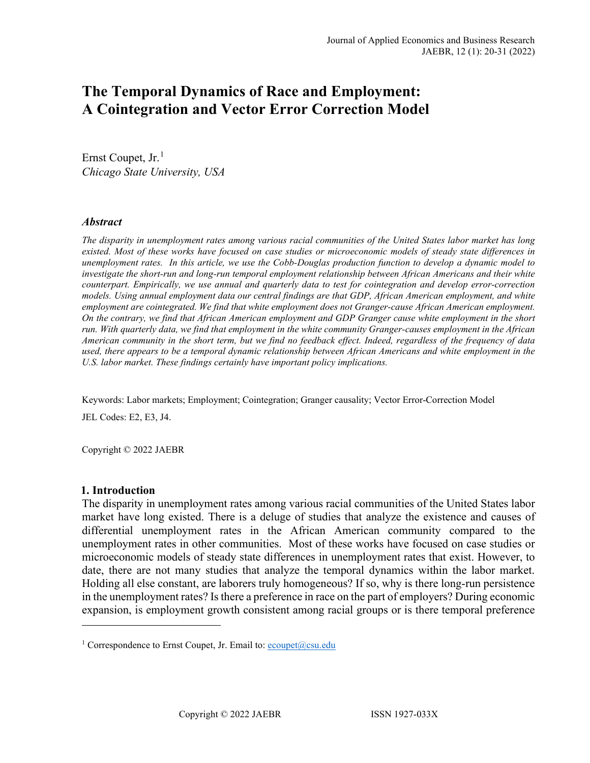# **The Temporal Dynamics of Race and Employment: A Cointegration and Vector Error Correction Model**

Ernst Coupet, Jr.<sup>[1](#page-0-0)</sup> *Chicago State University, USA*

#### *Abstract*

*The disparity in unemployment rates among various racial communities of the United States labor market has long existed. Most of these works have focused on case studies or microeconomic models of steady state differences in unemployment rates. In this article, we use the Cobb-Douglas production function to develop a dynamic model to investigate the short-run and long-run temporal employment relationship between African Americans and their white counterpart. Empirically, we use annual and quarterly data to test for cointegration and develop error-correction models. Using annual employment data our central findings are that GDP, African American employment, and white employment are cointegrated. We find that white employment does not Granger-cause African American employment. On the contrary, we find that African American employment and GDP Granger cause white employment in the short run. With quarterly data, we find that employment in the white community Granger-causes employment in the African American community in the short term, but we find no feedback effect. Indeed, regardless of the frequency of data used, there appears to be a temporal dynamic relationship between African Americans and white employment in the U.S. labor market. These findings certainly have important policy implications.*

Keywords: Labor markets; Employment; Cointegration; Granger causality; Vector Error-Correction Model

JEL Codes: E2, E3, J4.

Copyright © 2022 JAEBR

#### **1. Introduction**

The disparity in unemployment rates among various racial communities of the United States labor market have long existed. There is a deluge of studies that analyze the existence and causes of differential unemployment rates in the African American community compared to the unemployment rates in other communities. Most of these works have focused on case studies or microeconomic models of steady state differences in unemployment rates that exist. However, to date, there are not many studies that analyze the temporal dynamics within the labor market. Holding all else constant, are laborers truly homogeneous? If so, why is there long-run persistence in the unemployment rates? Is there a preference in race on the part of employers? During economic expansion, is employment growth consistent among racial groups or is there temporal preference

<span id="page-0-0"></span><sup>&</sup>lt;sup>1</sup> Correspondence to Ernst Coupet, Jr. Email to:  $\frac{e\text{coupet}(\partial \text{csu.edu})}{e\text{coupet}(\partial \text{csu.edu})}$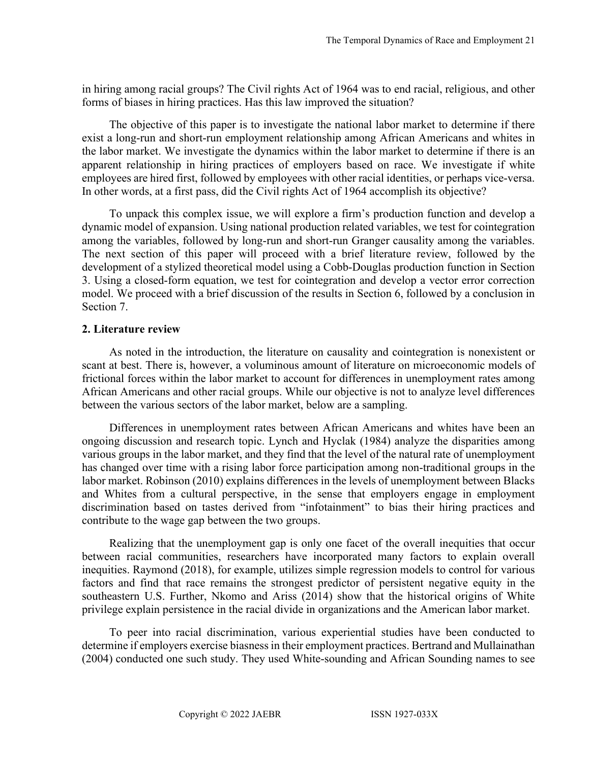in hiring among racial groups? The Civil rights Act of 1964 was to end racial, religious, and other forms of biases in hiring practices. Has this law improved the situation?

The objective of this paper is to investigate the national labor market to determine if there exist a long-run and short-run employment relationship among African Americans and whites in the labor market. We investigate the dynamics within the labor market to determine if there is an apparent relationship in hiring practices of employers based on race. We investigate if white employees are hired first, followed by employees with other racial identities, or perhaps vice-versa. In other words, at a first pass, did the Civil rights Act of 1964 accomplish its objective?

To unpack this complex issue, we will explore a firm's production function and develop a dynamic model of expansion. Using national production related variables, we test for cointegration among the variables, followed by long-run and short-run Granger causality among the variables. The next section of this paper will proceed with a brief literature review, followed by the development of a stylized theoretical model using a Cobb-Douglas production function in Section 3. Using a closed-form equation, we test for cointegration and develop a vector error correction model. We proceed with a brief discussion of the results in Section 6, followed by a conclusion in Section 7.

#### **2. Literature review**

As noted in the introduction, the literature on causality and cointegration is nonexistent or scant at best. There is, however, a voluminous amount of literature on microeconomic models of frictional forces within the labor market to account for differences in unemployment rates among African Americans and other racial groups. While our objective is not to analyze level differences between the various sectors of the labor market, below are a sampling.

Differences in unemployment rates between African Americans and whites have been an ongoing discussion and research topic. Lynch and Hyclak (1984) analyze the disparities among various groups in the labor market, and they find that the level of the natural rate of unemployment has changed over time with a rising labor force participation among non-traditional groups in the labor market. Robinson (2010) explains differences in the levels of unemployment between Blacks and Whites from a cultural perspective, in the sense that employers engage in employment discrimination based on tastes derived from "infotainment" to bias their hiring practices and contribute to the wage gap between the two groups.

Realizing that the unemployment gap is only one facet of the overall inequities that occur between racial communities, researchers have incorporated many factors to explain overall inequities. Raymond (2018), for example, utilizes simple regression models to control for various factors and find that race remains the strongest predictor of persistent negative equity in the southeastern U.S. Further, Nkomo and Ariss (2014) show that the historical origins of White privilege explain persistence in the racial divide in organizations and the American labor market.

To peer into racial discrimination, various experiential studies have been conducted to determine if employers exercise biasness in their employment practices. Bertrand and Mullainathan (2004) conducted one such study. They used White-sounding and African Sounding names to see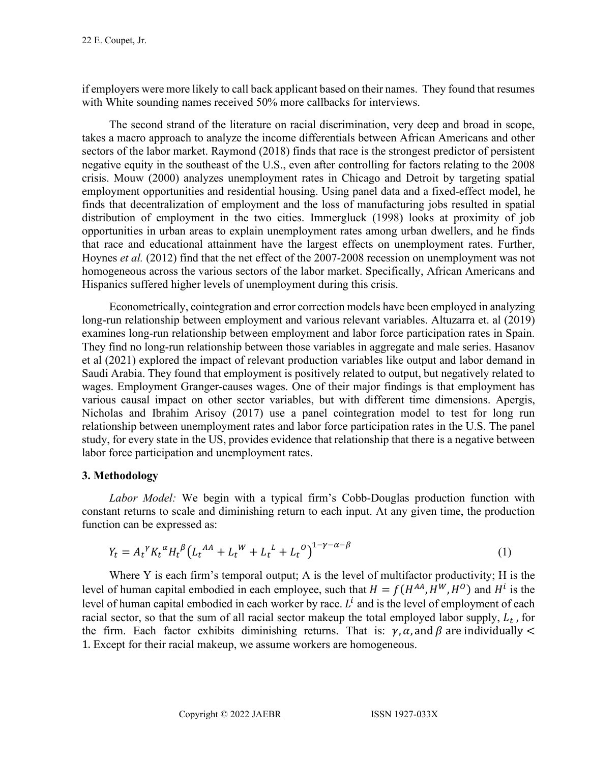if employers were more likely to call back applicant based on their names. They found that resumes with White sounding names received 50% more callbacks for interviews.

The second strand of the literature on racial discrimination, very deep and broad in scope, takes a macro approach to analyze the income differentials between African Americans and other sectors of the labor market. Raymond (2018) finds that race is the strongest predictor of persistent negative equity in the southeast of the U.S., even after controlling for factors relating to the 2008 crisis. Mouw (2000) analyzes unemployment rates in Chicago and Detroit by targeting spatial employment opportunities and residential housing. Using panel data and a fixed-effect model, he finds that decentralization of employment and the loss of manufacturing jobs resulted in spatial distribution of employment in the two cities. Immergluck (1998) looks at proximity of job opportunities in urban areas to explain unemployment rates among urban dwellers, and he finds that race and educational attainment have the largest effects on unemployment rates. Further, Hoynes *et al.* (2012) find that the net effect of the 2007-2008 recession on unemployment was not homogeneous across the various sectors of the labor market. Specifically, African Americans and Hispanics suffered higher levels of unemployment during this crisis.

Econometrically, cointegration and error correction models have been employed in analyzing long-run relationship between employment and various relevant variables. Altuzarra et. al (2019) examines long-run relationship between employment and labor force participation rates in Spain. They find no long-run relationship between those variables in aggregate and male series. Hasanov et al (2021) explored the impact of relevant production variables like output and labor demand in Saudi Arabia. They found that employment is positively related to output, but negatively related to wages. Employment Granger-causes wages. One of their major findings is that employment has various causal impact on other sector variables, but with different time dimensions. Apergis, Nicholas and Ibrahim Arisoy (2017) use a panel cointegration model to test for long run relationship between unemployment rates and labor force participation rates in the U.S. The panel study, for every state in the US, provides evidence that relationship that there is a negative between labor force participation and unemployment rates.

# **3. Methodology**

*Labor Model:* We begin with a typical firm's Cobb-Douglas production function with constant returns to scale and diminishing return to each input. At any given time, the production function can be expressed as:

$$
Y_t = A_t^{\gamma} K_t^{\alpha} H_t^{\beta} \left( L_t^{AA} + L_t^{W} + L_t^{L} + L_t^{O} \right)^{1 - \gamma - \alpha - \beta}
$$
\n(1)

Where Y is each firm's temporal output; A is the level of multifactor productivity; H is the level of human capital embodied in each employee, such that  $H = f(H^{AA}, H^{W}, H^{O})$  and  $H^{i}$  is the level of human capital embodied in each worker by race.  $L^i$  and is the level of employment of each racial sector, so that the sum of all racial sector makeup the total employed labor supply,  $L_t$ , for the firm. Each factor exhibits diminishing returns. That is:  $\gamma$ ,  $\alpha$ , and  $\beta$  are individually < 1. Except for their racial makeup, we assume workers are homogeneous.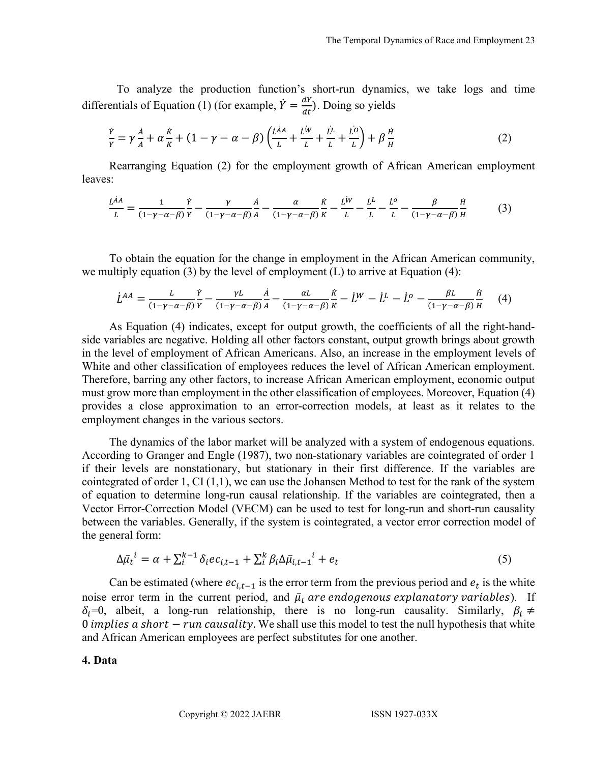To analyze the production function's short-run dynamics, we take logs and time differentials of Equation (1) (for example,  $\dot{Y} = \frac{dY}{dt}$ ). Doing so yields

$$
\frac{\dot{Y}}{Y} = \gamma \frac{\dot{A}}{A} + \alpha \frac{\dot{K}}{K} + (1 - \gamma - \alpha - \beta) \left( \frac{\dot{L}^{\dot{A}A}}{L} + \frac{\dot{L}^{\dot{W}}}{L} + \frac{\dot{L}^{\dot{L}}}{L} + \frac{\dot{L}^{\dot{O}}}{L} \right) + \beta \frac{\dot{H}}{H}
$$
(2)

Rearranging Equation (2) for the employment growth of African American employment leaves:

$$
\frac{\dot{L}^{\dot{A}A}}{L} = \frac{1}{(1-\gamma-\alpha-\beta)}\frac{\dot{Y}}{Y} - \frac{\gamma}{(1-\gamma-\alpha-\beta)}\frac{\dot{A}}{A} - \frac{\alpha}{(1-\gamma-\alpha-\beta)}\frac{\dot{K}}{K} - \frac{\dot{L}^{\dot{W}}}{L} - \frac{\dot{L}^{\dot{L}}}{L} - \frac{\dot{L}^{\dot{o}}}{L} - \frac{\beta}{(1-\gamma-\alpha-\beta)}\frac{\dot{H}}{H} \tag{3}
$$

To obtain the equation for the change in employment in the African American community, we multiply equation (3) by the level of employment (L) to arrive at Equation (4):

$$
\dot{L}^{AA} = \frac{L}{(1-\gamma-\alpha-\beta)}\frac{\dot{Y}}{Y} - \frac{\gamma L}{(1-\gamma-\alpha-\beta)}\frac{\dot{A}}{A} - \frac{\alpha L}{(1-\gamma-\alpha-\beta)}\frac{\dot{K}}{K} - \dot{L}^{W} - \dot{L}^{L} - \dot{L}^{o} - \frac{\beta L}{(1-\gamma-\alpha-\beta)}\frac{\dot{H}}{H}
$$
(4)

As Equation (4) indicates, except for output growth, the coefficients of all the right-handside variables are negative. Holding all other factors constant, output growth brings about growth in the level of employment of African Americans. Also, an increase in the employment levels of White and other classification of employees reduces the level of African American employment. Therefore, barring any other factors, to increase African American employment, economic output must grow more than employment in the other classification of employees. Moreover, Equation (4) provides a close approximation to an error-correction models, at least as it relates to the employment changes in the various sectors.

The dynamics of the labor market will be analyzed with a system of endogenous equations. According to Granger and Engle (1987), two non-stationary variables are cointegrated of order 1 if their levels are nonstationary, but stationary in their first difference. If the variables are cointegrated of order  $1$ , CI $(1,1)$ , we can use the Johansen Method to test for the rank of the system of equation to determine long-run causal relationship. If the variables are cointegrated, then a Vector Error-Correction Model (VECM) can be used to test for long-run and short-run causality between the variables. Generally, if the system is cointegrated, a vector error correction model of the general form:

$$
\Delta \bar{\mu}_t^i = \alpha + \sum_{i=1}^{k-1} \delta_i e c_{i,t-1} + \sum_{i=1}^{k} \beta_i \Delta \bar{\mu}_{i,t-1}^i + e_t \tag{5}
$$

Can be estimated (where  $ec_{i,t-1}$  is the error term from the previous period and  $e_t$  is the white noise error term in the current period, and  $\bar{\mu}_t$  are endogenous explanatory variables). If  $\delta_i=0$ , albeit, a long-run relationship, there is no long-run causality. Similarly,  $\beta_i \neq$ 0 *implies a short – run causality*. We shall use this model to test the null hypothesis that white and African American employees are perfect substitutes for one another.

#### **4. Data**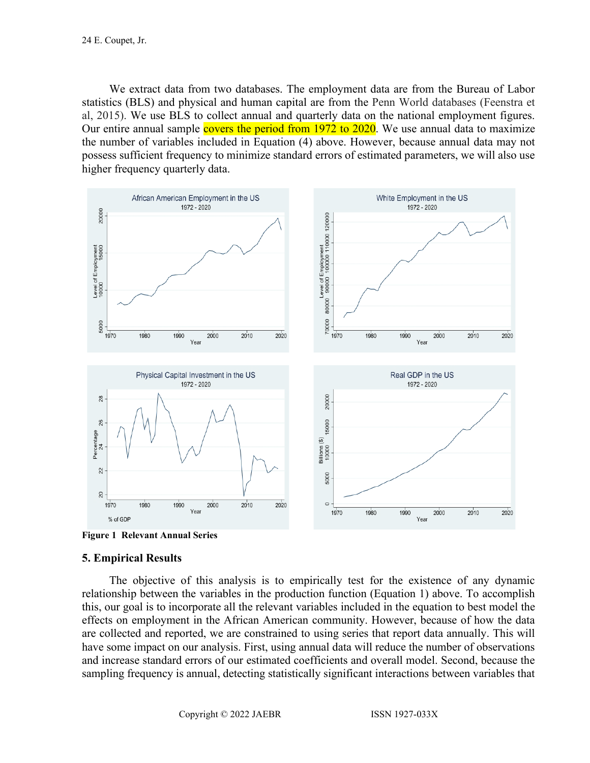We extract data from two databases. The employment data are from the Bureau of Labor statistics (BLS) and physical and human capital are from the Penn World databases (Feenstra et al, 2015). We use BLS to collect annual and quarterly data on the national employment figures. Our entire annual sample covers the period from 1972 to 2020. We use annual data to maximize the number of variables included in Equation (4) above. However, because annual data may not possess sufficient frequency to minimize standard errors of estimated parameters, we will also use higher frequency quarterly data.





#### **5. Empirical Results**

The objective of this analysis is to empirically test for the existence of any dynamic relationship between the variables in the production function (Equation 1) above. To accomplish this, our goal is to incorporate all the relevant variables included in the equation to best model the effects on employment in the African American community. However, because of how the data are collected and reported, we are constrained to using series that report data annually. This will have some impact on our analysis. First, using annual data will reduce the number of observations and increase standard errors of our estimated coefficients and overall model. Second, because the sampling frequency is annual, detecting statistically significant interactions between variables that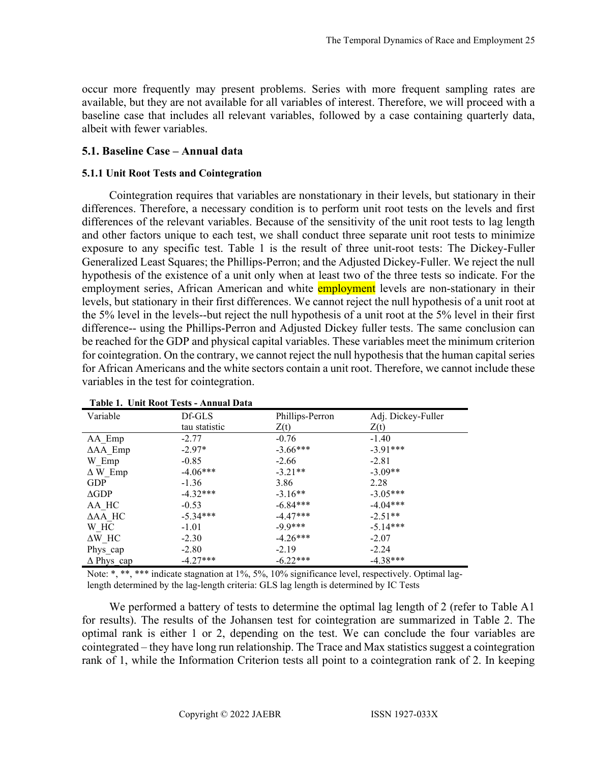occur more frequently may present problems. Series with more frequent sampling rates are available, but they are not available for all variables of interest. Therefore, we will proceed with a baseline case that includes all relevant variables, followed by a case containing quarterly data, albeit with fewer variables.

#### **5.1. Baseline Case – Annual data**

#### **5.1.1 Unit Root Tests and Cointegration**

Cointegration requires that variables are nonstationary in their levels, but stationary in their differences. Therefore, a necessary condition is to perform unit root tests on the levels and first differences of the relevant variables. Because of the sensitivity of the unit root tests to lag length and other factors unique to each test, we shall conduct three separate unit root tests to minimize exposure to any specific test. Table 1 is the result of three unit-root tests: The Dickey-Fuller Generalized Least Squares; the Phillips-Perron; and the Adjusted Dickey-Fuller. We reject the null hypothesis of the existence of a unit only when at least two of the three tests so indicate. For the employment series, African American and white **employment** levels are non-stationary in their levels, but stationary in their first differences. We cannot reject the null hypothesis of a unit root at the 5% level in the levels--but reject the null hypothesis of a unit root at the 5% level in their first difference-- using the Phillips-Perron and Adjusted Dickey fuller tests. The same conclusion can be reached for the GDP and physical capital variables. These variables meet the minimum criterion for cointegration. On the contrary, we cannot reject the null hypothesis that the human capital series for African Americans and the white sectors contain a unit root. Therefore, we cannot include these variables in the test for cointegration.

| Variable               | Df-GLS        | Phillips-Perron | Adj. Dickey-Fuller |
|------------------------|---------------|-----------------|--------------------|
|                        | tau statistic | Z(t)            | Z(t)               |
| AA_Emp                 | $-2.77$       | $-0.76$         | $-1.40$            |
| $\Delta$ AA_Emp        | $-2.97*$      | $-3.66***$      | $-3.91***$         |
| W_Emp                  | $-0.85$       | $-2.66$         | $-2.81$            |
| $\Delta$ W_Emp         | $-4.06***$    | $-3.21**$       | $-3.09**$          |
| <b>GDP</b>             | $-1.36$       | 3.86            | 2.28               |
| $\triangle$ GDP        | $-4.32***$    | $-3.16**$       | $-3.05***$         |
| AA HC                  | $-0.53$       | $-6.84***$      | $-4.04***$         |
| $\Delta AA$ HC         | $-5.34***$    | $-4.47***$      | $-2.51**$          |
| W HC                   | $-1.01$       | $-9.9***$       | $-5.14***$         |
| $\Delta W$ HC          | $-2.30$       | $-4.26***$      | $-2.07$            |
| Phys_cap               | $-2.80$       | $-2.19$         | $-2.24$            |
| $\Delta$ Phys $\_{cap$ | $-4.27***$    | $-6.22***$      | $-4.38***$         |

#### **Table 1. Unit Root Tests - Annual Data**

Note: \*, \*\*, \*\*\* indicate stagnation at 1%, 5%, 10% significance level, respectively. Optimal laglength determined by the lag-length criteria: GLS lag length is determined by IC Tests

We performed a battery of tests to determine the optimal lag length of 2 (refer to Table A1) for results). The results of the Johansen test for cointegration are summarized in Table 2. The optimal rank is either 1 or 2, depending on the test. We can conclude the four variables are cointegrated – they have long run relationship. The Trace and Max statistics suggest a cointegration rank of 1, while the Information Criterion tests all point to a cointegration rank of 2. In keeping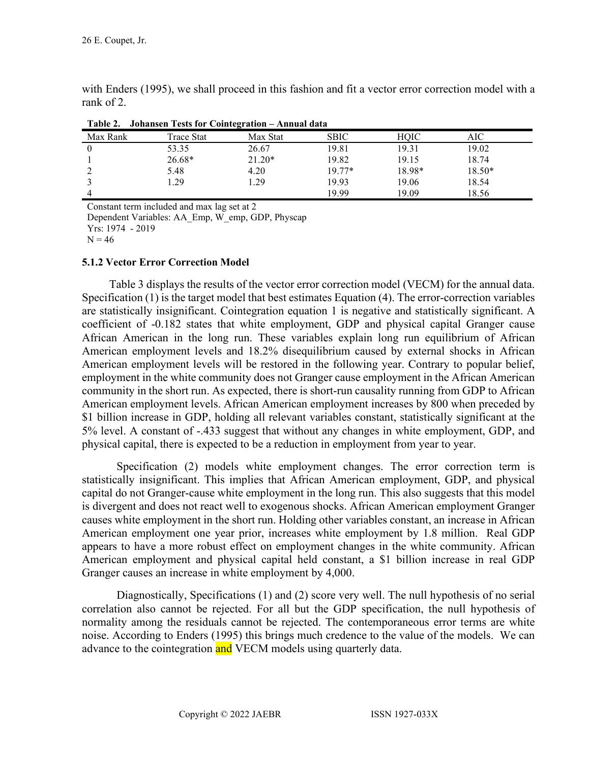| Table 2. Johansen Tests for Cointegration – Annual data |            |          |             |        |          |  |
|---------------------------------------------------------|------------|----------|-------------|--------|----------|--|
| Max Rank                                                | Trace Stat | Max Stat | <b>SBIC</b> | HOIC   | AIC      |  |
|                                                         | 53.35      | 26.67    | 19.81       | 19.31  | 19.02    |  |
|                                                         | $26.68*$   | $21.20*$ | 19.82       | 19.15  | 18.74    |  |
|                                                         | 5.48       | 4.20     | $19.77*$    | 18.98* | $18.50*$ |  |
|                                                         | .29        | 1.29     | 19.93       | 19.06  | 18.54    |  |
|                                                         |            |          | 19.99       | 19.09  | 18.56    |  |

with Enders (1995), we shall proceed in this fashion and fit a vector error correction model with a rank of 2.

| Table 2. Johansen Tests for Cointegration - Annual data |
|---------------------------------------------------------|
|---------------------------------------------------------|

Constant term included and max lag set at 2

Dependent Variables: AA\_Emp, W\_emp, GDP, Physcap

Yrs: 1974 - 2019

 $N = 46$ 

#### **5.1.2 Vector Error Correction Model**

Table 3 displays the results of the vector error correction model (VECM) for the annual data. Specification (1) is the target model that best estimates Equation (4). The error-correction variables are statistically insignificant. Cointegration equation 1 is negative and statistically significant. A coefficient of -0.182 states that white employment, GDP and physical capital Granger cause African American in the long run. These variables explain long run equilibrium of African American employment levels and 18.2% disequilibrium caused by external shocks in African American employment levels will be restored in the following year. Contrary to popular belief, employment in the white community does not Granger cause employment in the African American community in the short run. As expected, there is short-run causality running from GDP to African American employment levels. African American employment increases by 800 when preceded by \$1 billion increase in GDP, holding all relevant variables constant, statistically significant at the 5% level. A constant of -.433 suggest that without any changes in white employment, GDP, and physical capital, there is expected to be a reduction in employment from year to year.

Specification (2) models white employment changes. The error correction term is statistically insignificant. This implies that African American employment, GDP, and physical capital do not Granger-cause white employment in the long run. This also suggests that this model is divergent and does not react well to exogenous shocks. African American employment Granger causes white employment in the short run. Holding other variables constant, an increase in African American employment one year prior, increases white employment by 1.8 million. Real GDP appears to have a more robust effect on employment changes in the white community. African American employment and physical capital held constant, a \$1 billion increase in real GDP Granger causes an increase in white employment by 4,000.

Diagnostically, Specifications (1) and (2) score very well. The null hypothesis of no serial correlation also cannot be rejected. For all but the GDP specification, the null hypothesis of normality among the residuals cannot be rejected. The contemporaneous error terms are white noise. According to Enders (1995) this brings much credence to the value of the models. We can advance to the cointegration and VECM models using quarterly data.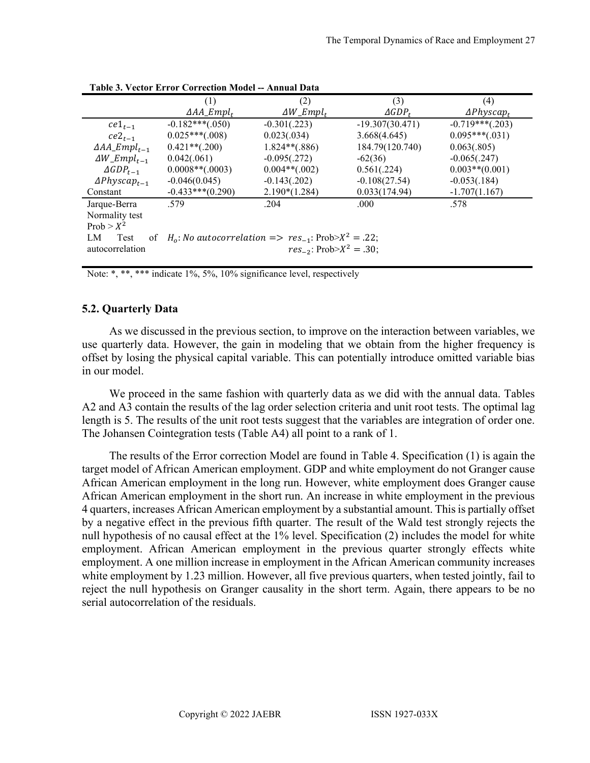|                                 | (1)                                                            | (2)                             | (3)                 | (4)                |
|---------------------------------|----------------------------------------------------------------|---------------------------------|---------------------|--------------------|
|                                 | $\Delta AA \_Empl_t$                                           | $\Delta W$ _Empl <sub>t</sub>   | $\triangle GDP_{t}$ | $\Delta Physcap_t$ |
| $ce1_{t-1}$                     | $-0.182***(.050)$                                              | $-0.301(.223)$                  | $-19.307(30.471)$   | $-0.719***(.203)$  |
| $ce2_{t-1}$                     | $0.025***(0.008)$                                              | 0.023(.034)                     | 3.668(4.645)        | $0.095***(.031)$   |
| $\Delta AA \_Empl_{t-1}$        | $0.421**(.200)$                                                | $1.824**(.886)$                 | 184.79(120.740)     | 0.063(.805)        |
| $\Delta W$ _Empl <sub>t-1</sub> | 0.042(.061)                                                    | $-0.095(.272)$                  | $-62(36)$           | $-0.065(.247)$     |
| $\triangle GDP_{t-1}$           | $0.0008**(.0003)$                                              | $0.004**(.002)$                 | 0.561(.224)         | $0.003**$ (0.001)  |
| $\Delta Physcap_{t-1}$          | $-0.046(0.045)$                                                | $-0.143(.202)$                  | $-0.108(27.54)$     | $-0.053(.184)$     |
| Constant                        | $-0.433***(0.290)$                                             | $2.190*(1.284)$                 | 0.033(174.94)       | $-1.707(1.167)$    |
| Jarque-Berra                    | .579                                                           | .204                            | .000                | .578               |
| Normality test                  |                                                                |                                 |                     |                    |
| $Prob > X^2$                    |                                                                |                                 |                     |                    |
| LM<br><b>Test</b><br>of         | $H_0$ : No autocorrelation => $res_{-1}$ : Prob> $X^2 = .22$ ; |                                 |                     |                    |
| autocorrelation                 |                                                                | $res_{-2}$ : Prob> $X^2 = 30$ ; |                     |                    |
|                                 |                                                                |                                 |                     |                    |

**Table 3. Vector Error Correction Model -- Annual Data**

Note: \*, \*\*\*, \*\*\* indicate 1%, 5%, 10% significance level, respectively

#### **5.2. Quarterly Data**

As we discussed in the previous section, to improve on the interaction between variables, we use quarterly data. However, the gain in modeling that we obtain from the higher frequency is offset by losing the physical capital variable. This can potentially introduce omitted variable bias in our model.

We proceed in the same fashion with quarterly data as we did with the annual data. Tables A2 and A3 contain the results of the lag order selection criteria and unit root tests. The optimal lag length is 5. The results of the unit root tests suggest that the variables are integration of order one. The Johansen Cointegration tests (Table A4) all point to a rank of 1.

The results of the Error correction Model are found in Table 4. Specification (1) is again the target model of African American employment. GDP and white employment do not Granger cause African American employment in the long run. However, white employment does Granger cause African American employment in the short run. An increase in white employment in the previous 4 quarters, increases African American employment by a substantial amount. This is partially offset by a negative effect in the previous fifth quarter. The result of the Wald test strongly rejects the null hypothesis of no causal effect at the 1% level. Specification (2) includes the model for white employment. African American employment in the previous quarter strongly effects white employment. A one million increase in employment in the African American community increases white employment by 1.23 million. However, all five previous quarters, when tested jointly, fail to reject the null hypothesis on Granger causality in the short term. Again, there appears to be no serial autocorrelation of the residuals.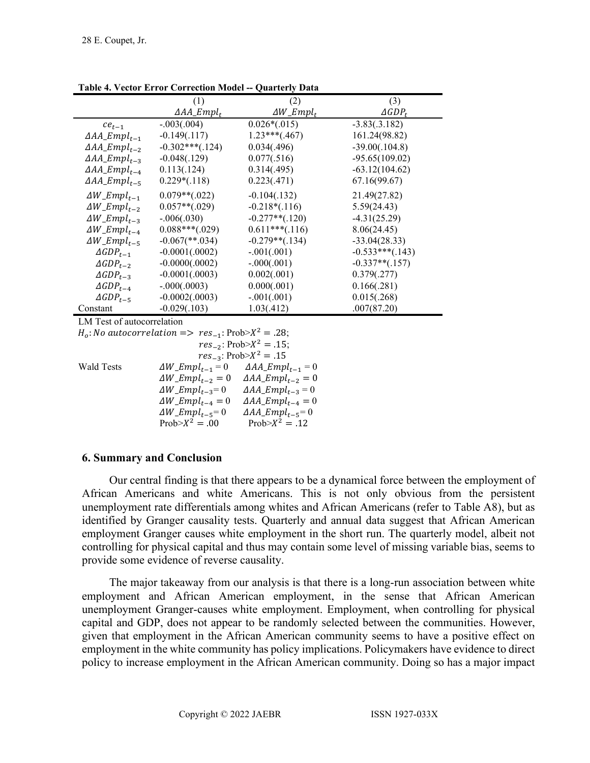|                                             |                      | zum with Dum                  |                     |
|---------------------------------------------|----------------------|-------------------------------|---------------------|
|                                             | (1)                  | (2)                           | (3)                 |
|                                             | $\Delta AA \_Empl_t$ | $\Delta W$ _Empl <sub>t</sub> | $\triangle GDP_{t}$ |
| $ce_{t-1}$                                  | $-.003(.004)$        | $0.026*(.015)$                | $-3.83(.3.182)$     |
| $\triangle AA \_Empl_{t-1}$                 | $-0.149(.117)$       | $1.23***(.467)$               | 161.24(98.82)       |
| $\Delta AA \_Empl_{t-2}$                    | $-0.302***(.124)$    | 0.034(.496)                   | $-39.00(.104.8)$    |
| $\Delta AA \_Empl_{t-3}$                    | $-0.048(.129)$       | 0.077(.516)                   | $-95.65(109.02)$    |
| $\triangle AA \_Empl_{t-4}$                 | 0.113(.124)          | 0.314(.495)                   | $-63.12(104.62)$    |
| $\Delta AA \_Empl_{t-5}$                    | $0.229*(.118)$       | 0.223(.471)                   | 67.16(99.67)        |
| $\Delta W$ _Empl <sub>t-1</sub>             | $0.079**(.022)$      | $-0.104(.132)$                | 21.49(27.82)        |
| $\Delta W$ <sub>_</sub> Empl <sub>t-2</sub> | $0.057**(.029)$      | $-0.218*(.116)$               | 5.59(24.43)         |
| $\Delta W$ <sub>_</sub> Empl <sub>t-3</sub> | $-.006(.030)$        | $-0.277**(.120)$              | $-4.31(25.29)$      |
| $\Delta W$ <sub>_</sub> Empl <sub>t_4</sub> | $0.088***(0.029)$    | $0.611***(.116)$              | 8.06(24.45)         |
| $\Delta W$ _Empl <sub>t-5</sub>             | $-0.067$ (**.034)    | $-0.279**(.134)$              | $-33.04(28.33)$     |
| $\triangle GDP_{t-1}$                       | $-0.0001(.0002)$     | $-.001(.001)$                 | $-0.533***(0.143)$  |
| $\triangle GDP_{t-2}$                       | $-0.0000(.0002)$     | $-.000(.001)$                 | $-0.337**(.157)$    |
| $\triangle GDP_{t-3}$                       | $-0.0001(.0003)$     | 0.002(.001)                   | 0.379(.277)         |
| $\triangle GDP_{t-4}$                       | $-.000(.0003)$       | 0.000(.001)                   | 0.166(.281)         |
| $\triangle GDP_{t-5}$                       | $-0.0002(.0003)$     | $-.001(.001)$                 | 0.015(.268)         |
| Constant                                    | $-0.029(.103)$       | 1.03(.412)                    | .007(87.20)         |
|                                             |                      |                               |                     |

**Table 4. Vector Error Correction Model -- Quarterly Data**

LM Test of autocorrelation

 $H_o: No \ autocorrelation => res_{-1}: Prob > X^2 = .28;$ 

| $res_{-2}$ : Prob> $X^2 = .15$ ;                   |                                 |  |  |  |
|----------------------------------------------------|---------------------------------|--|--|--|
|                                                    | $res_{-3}$ : Prob> $X^2 = .15$  |  |  |  |
| $\Delta W$ <sub>-<math>Empl_{t-1} = 0</math></sub> | $\Delta AA \_Empl_{t-1} = 0$    |  |  |  |
| $\Delta W \_Empl_{t-2} = 0$                        | $\Delta AA \_Empl_{t-2} = 0$    |  |  |  |
| $\Delta W$ <sub>_</sub> Empl <sub>t-3</sub> =0     | $\Delta AA \_Empl_{t-3} = 0$    |  |  |  |
| $\Delta W$ <sub>-E</sub> mpl <sub>t-4</sub> = 0    | $\Delta AA\_Empl_{t-4} = 0$     |  |  |  |
| $\Delta W \_Empl_{t-5} = 0$                        | $\triangle AA \_Empl_{t-5} = 0$ |  |  |  |
| Prob $X^2 = .00$                                   | Prob $>X^2 = .12$               |  |  |  |
|                                                    |                                 |  |  |  |

#### **6. Summary and Conclusion**

Our central finding is that there appears to be a dynamical force between the employment of African Americans and white Americans. This is not only obvious from the persistent unemployment rate differentials among whites and African Americans (refer to Table A8), but as identified by Granger causality tests. Quarterly and annual data suggest that African American employment Granger causes white employment in the short run. The quarterly model, albeit not controlling for physical capital and thus may contain some level of missing variable bias, seems to provide some evidence of reverse causality.

The major takeaway from our analysis is that there is a long-run association between white employment and African American employment, in the sense that African American unemployment Granger-causes white employment. Employment, when controlling for physical capital and GDP, does not appear to be randomly selected between the communities. However, given that employment in the African American community seems to have a positive effect on employment in the white community has policy implications. Policymakers have evidence to direct policy to increase employment in the African American community. Doing so has a major impact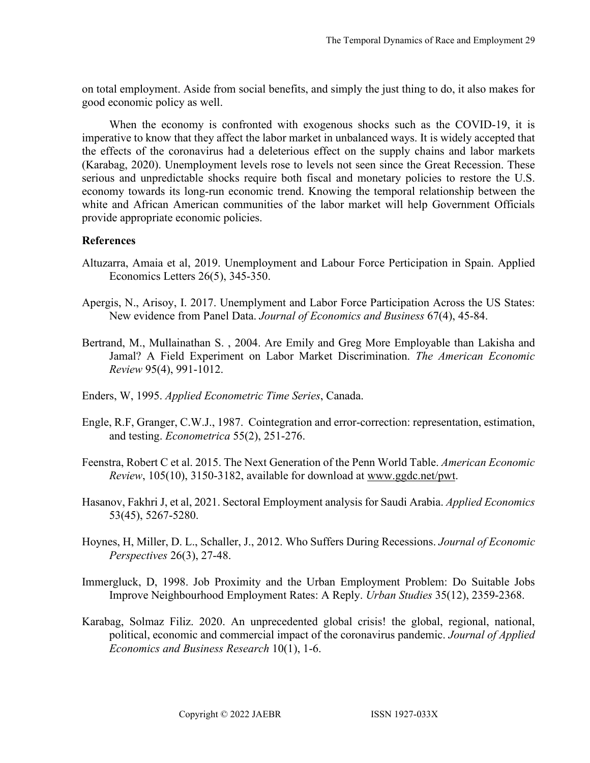on total employment. Aside from social benefits, and simply the just thing to do, it also makes for good economic policy as well.

When the economy is confronted with exogenous shocks such as the COVID-19, it is imperative to know that they affect the labor market in unbalanced ways. It is widely accepted that the effects of the coronavirus had a deleterious effect on the supply chains and labor markets (Karabag, 2020). Unemployment levels rose to levels not seen since the Great Recession. These serious and unpredictable shocks require both fiscal and monetary policies to restore the U.S. economy towards its long-run economic trend. Knowing the temporal relationship between the white and African American communities of the labor market will help Government Officials provide appropriate economic policies.

#### **References**

- Altuzarra, Amaia et al, 2019. Unemployment and Labour Force Perticipation in Spain. Applied Economics Letters 26(5), 345-350.
- Apergis, N., Arisoy, I. 2017. Unemplyment and Labor Force Participation Across the US States: New evidence from Panel Data. *Journal of Economics and Business* 67(4), 45-84.
- Bertrand, M., Mullainathan S. , 2004. Are Emily and Greg More Employable than Lakisha and Jamal? A Field Experiment on Labor Market Discrimination. *The American Economic Review* 95(4), 991-1012.
- Enders, W, 1995. *Applied Econometric Time Series*, Canada.
- Engle, R.F, Granger, C.W.J., 1987. Cointegration and error-correction: representation, estimation, and testing. *Econometrica* 55(2), 251-276.
- Feenstra, Robert C et al. 2015. The Next Generation of the Penn World Table. *American Economic Review*, 105(10), 3150-3182, available for download at [www.ggdc.net/pwt.](https://www.rug.nl/ggdc/productivity/pwt/related-research)
- Hasanov, Fakhri J, et al, 2021. Sectoral Employment analysis for Saudi Arabia. *Applied Economics*  53(45), 5267-5280.
- Hoynes, H, Miller, D. L., Schaller, J., 2012. Who Suffers During Recessions. *Journal of Economic Perspectives* 26(3), 27-48.
- Immergluck, D, 1998. Job Proximity and the Urban Employment Problem: Do Suitable Jobs Improve Neighbourhood Employment Rates: A Reply. *Urban Studies* 35(12), 2359-2368.
- Karabag, Solmaz Filiz. 2020. An unprecedented global crisis! the global, regional, national, political, economic and commercial impact of the coronavirus pandemic. *Journal of Applied Economics and Business Research* 10(1), 1-6.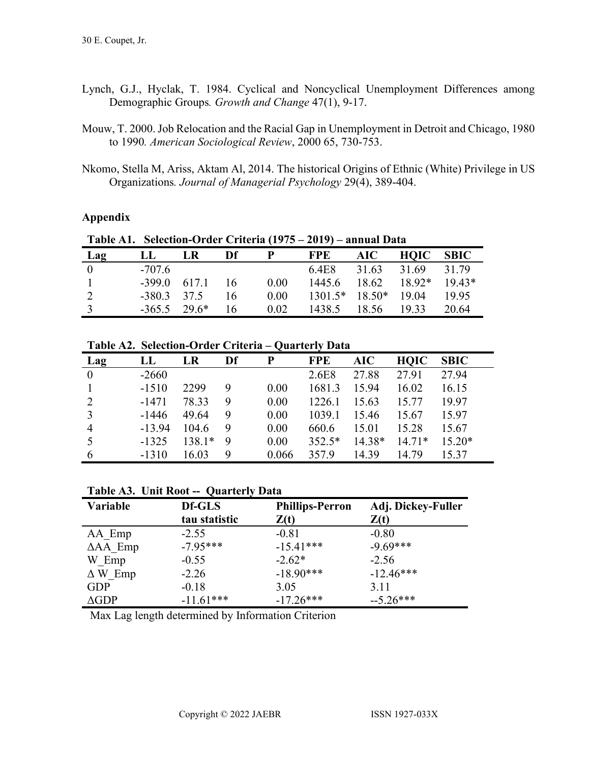- Lynch, G.J., Hyclak, T. 1984. Cyclical and Noncyclical Unemployment Differences among Demographic Groups*. Growth and Change* 47(1), 9-17.
- Mouw, T. 2000. Job Relocation and the Racial Gap in Unemployment in Detroit and Chicago, 1980 to 1990*. American Sociological Review*, 2000 65, 730-753.
- Nkomo, Stella M, Ariss, Aktam Al, 2014. The historical Origins of Ethnic (White) Privilege in US Organizations*. Journal of Managerial Psychology* 29(4), 389-404.

### **Appendix**

|                | <b>Table Al. Selection-Order Criteria (1975 – 2019) – annual Data</b> |                   |     |      |                           |                    |      |             |
|----------------|-----------------------------------------------------------------------|-------------------|-----|------|---------------------------|--------------------|------|-------------|
| Lag            | LL                                                                    | <b>LR</b>         | Df  |      | <b>FPE</b>                | <b>AIC</b>         | HOIC | <b>SBIC</b> |
| $\theta$       | $-707.6$                                                              |                   |     |      | 6.4E8 31.63 31.69 31.79   |                    |      |             |
| $\Box$         |                                                                       | $-399.0$ 617.1 16 |     | 0.00 | $1445.6$ $18.62$ $18.92*$ |                    |      | $19.43*$    |
|                | $-380.3$ 37.5                                                         |                   | 16  | 0.00 | $1301.5*$ $18.50*$ 19.04  |                    |      | 19.95       |
| $\overline{3}$ | $-365.5$ 29.6*                                                        |                   | -16 | 0.02 |                           | 1438.5 18.56 19.33 |      | 20.64       |

**Table A1. Selection-Order Criteria (1975 – 2019) – annual Data**

**Table A2. Selection-Order Criteria – Quarterly Data**

| Lag            | LL       | LR     | Df | P     | <b>FPE</b> | <b>AIC</b> | <b>HOIC</b> | <b>SBIC</b> |
|----------------|----------|--------|----|-------|------------|------------|-------------|-------------|
| $\theta$       | $-2660$  |        |    |       | 2.6E8      | 27.88      | 27.91       | 27.94       |
|                | $-1510$  | 2299   | 9  | 0.00  | 1681.3     | 15.94      | 16.02       | 16.15       |
| $\overline{2}$ | $-1471$  | 78.33  | 9  | 0.00  | 1226.1     | 15.63      | 15.77       | 19.97       |
| 3              | $-1446$  | 49.64  | 9  | 0.00  | 1039.1     | 15.46      | 15.67       | 15.97       |
| $\overline{4}$ | $-13.94$ | 104.6  | 9  | 0.00  | 660.6      | 15.01      | 15.28       | 15.67       |
| 5              | $-1325$  | 138.1* | 9  | 0.00  | $352.5*$   | 14.38*     | $14.71*$    | $15.20*$    |
| 6              | $-1310$  | 16.03  | 9  | 0.066 | 357.9      | 14.39      | 14.79       | 15.37       |

#### **Table A3. Unit Root -- Quarterly Data**

| Variable           | Df-GLS        | <b>Phillips-Perron</b> | Adj. Dickey-Fuller |
|--------------------|---------------|------------------------|--------------------|
|                    | tau statistic | Z(t)                   | Z(t)               |
| AA Emp             | $-2.55$       | $-0.81$                | $-0.80$            |
| $\triangle AA$ Emp | $-7.95***$    | $-15.41***$            | $-9.69***$         |
| W Emp              | $-0.55$       | $-2.62*$               | $-2.56$            |
| $\Delta W$ Emp     | $-2.26$       | $-18.90***$            | $-12.46***$        |
| <b>GDP</b>         | $-0.18$       | 3.05                   | 3.11               |
| $\triangle$ GDP    | $-11.61***$   | $-17.26***$            | $-5.26***$         |

Max Lag length determined by Information Criterion